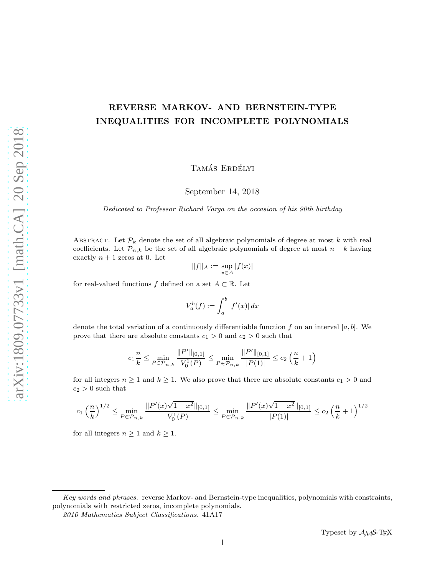# REVERSE MARKOV- AND BERNSTEIN-TYPE INEQUALITIES FOR INCOMPLETE POLYNOMIALS

TAMÁS ERDÉLYI

September 14, 2018

*Dedicated to Professor Richard Varga on the occasion of his 90th birthday*

ABSTRACT. Let  $\mathcal{P}_k$  denote the set of all algebraic polynomials of degree at most k with real coefficients. Let  $\mathcal{P}_{n,k}$  be the set of all algebraic polynomials of degree at most  $n + k$  having exactly  $n + 1$  zeros at 0. Let

$$
\|f\|_A:=\sup_{x\in A}|f(x)|
$$

for real-valued functions f defined on a set  $A \subset \mathbb{R}$ . Let

$$
V_a^b(f) := \int_a^b |f'(x)| dx
$$

denote the total variation of a continuously differentiable function f on an interval  $[a, b]$ . We prove that there are absolute constants  $c_1 > 0$  and  $c_2 > 0$  such that

$$
c_1 \frac{n}{k} \le \min_{P \in \mathcal{P}_{n,k}} \frac{\|P'\|_{[0,1]}}{V_0^1(P)} \le \min_{P \in \mathcal{P}_{n,k}} \frac{\|P'\|_{[0,1]}}{|P(1)|} \le c_2 \left(\frac{n}{k} + 1\right)
$$

for all integers  $n \ge 1$  and  $k \ge 1$ . We also prove that there are absolute constants  $c_1 > 0$  and  $c_2 > 0$  such that

$$
c_1 \left(\frac{n}{k}\right)^{1/2} \le \min_{P \in \mathcal{P}_{n,k}} \frac{\|P'(x)\sqrt{1-x^2}\|_{[0,1]}}{V_0^1(P)} \le \min_{P \in \mathcal{P}_{n,k}} \frac{\|P'(x)\sqrt{1-x^2}\|_{[0,1]}}{|P(1)|} \le c_2 \left(\frac{n}{k}+1\right)^{1/2}
$$

for all integers  $n \geq 1$  and  $k \geq 1$ .

*Key words and phrases.* reverse Markov- and Bernstein-type inequalities, polynomials with constraints, polynomials with restricted zeros, incomplete polynomials.

*<sup>2010</sup> Mathematics Subject Classifications.* 41A17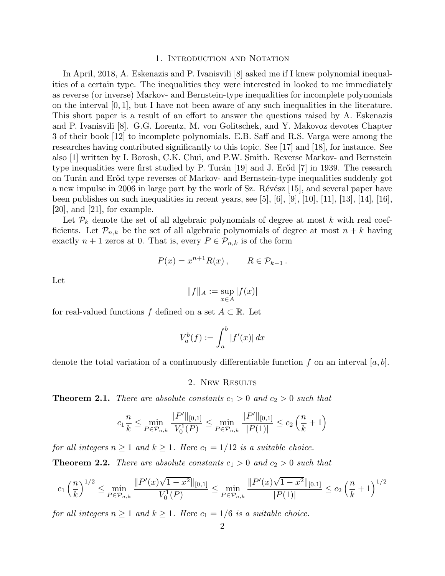#### 1. Introduction and Notation

In April, 2018, A. Eskenazis and P. Ivanisvili [8] asked me if I knew polynomial inequalities of a certain type. The inequalities they were interested in looked to me immediately as reverse (or inverse) Markov- and Bernstein-type inequalities for incomplete polynomials on the interval  $[0, 1]$ , but I have not been aware of any such inequalities in the literature. This short paper is a result of an effort to answer the questions raised by A. Eskenazis and P. Ivanisvili [8]. G.G. Lorentz, M. von Golitschek, and Y. Makovoz devotes Chapter 3 of their book [12] to incomplete polynomials. E.B. Saff and R.S. Varga were among the researches having contributed significantly to this topic. See [17] and [18], for instance. See also [1] written by I. Borosh, C.K. Chui, and P.W. Smith. Reverse Markov- and Bernstein type inequalities were first studied by P. Turán  $[19]$  and J. Erőd  $[7]$  in 1939. The research on Turán and Erőd type reverses of Markov- and Bernstein-type inequalities suddenly got a new impulse in 2006 in large part by the work of Sz. Révész  $[15]$ , and several paper have been publishes on such inequalities in recent years, see  $[5]$ ,  $[6]$ ,  $[9]$ ,  $[10]$ ,  $[11]$ ,  $[13]$ ,  $[14]$ ,  $[16]$ , [20], and [21], for example.

Let  $\mathcal{P}_k$  denote the set of all algebraic polynomials of degree at most k with real coefficients. Let  $\mathcal{P}_{n,k}$  be the set of all algebraic polynomials of degree at most  $n + k$  having exactly  $n + 1$  zeros at 0. That is, every  $P \in \mathcal{P}_{n,k}$  is of the form

$$
P(x) = x^{n+1} R(x) , \qquad R \in \mathcal{P}_{k-1} .
$$

Let

$$
||f||_A := \sup_{x \in A} |f(x)|
$$

for real-valued functions f defined on a set  $A \subset \mathbb{R}$ . Let

$$
V_a^b(f) := \int_a^b |f'(x)| dx
$$

denote the total variation of a continuously differentiable function f on an interval  $[a, b]$ .

2. New Results

**Theorem 2.1.** There are absolute constants  $c_1 > 0$  and  $c_2 > 0$  such that

$$
c_1 \frac{n}{k} \le \min_{P \in \mathcal{P}_{n,k}} \frac{\|P'\|_{[0,1]}}{V_0^1(P)} \le \min_{P \in \mathcal{P}_{n,k}} \frac{\|P'\|_{[0,1]}}{|P(1)|} \le c_2 \left(\frac{n}{k} + 1\right)
$$

for all integers  $n \geq 1$  and  $k \geq 1$ . Here  $c_1 = 1/12$  is a suitable choice.

**Theorem 2.2.** There are absolute constants  $c_1 > 0$  and  $c_2 > 0$  such that

$$
c_1 \left(\frac{n}{k}\right)^{1/2} \le \min_{P \in \mathcal{P}_{n,k}} \frac{\|P'(x)\sqrt{1-x^2}\|_{[0,1]}}{V_0^1(P)} \le \min_{P \in \mathcal{P}_{n,k}} \frac{\|P'(x)\sqrt{1-x^2}\|_{[0,1]}}{|P(1)|} \le c_2 \left(\frac{n}{k}+1\right)^{1/2}
$$

for all integers  $n \geq 1$  and  $k \geq 1$ . Here  $c_1 = 1/6$  is a suitable choice.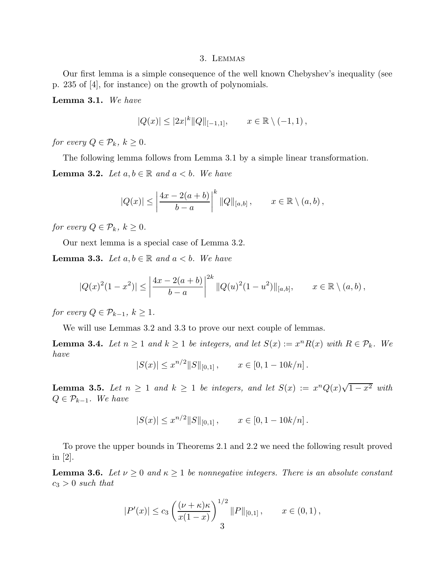#### 3. Lemmas

Our first lemma is a simple consequence of the well known Chebyshev's inequality (see p. 235 of [4], for instance) on the growth of polynomials.

Lemma 3.1. We have

$$
|Q(x)| \le |2x|^k ||Q||_{[-1,1]}, \qquad x \in \mathbb{R} \setminus (-1,1),
$$

for every  $Q \in \mathcal{P}_k$ ,  $k \geq 0$ .

The following lemma follows from Lemma 3.1 by a simple linear transformation.

**Lemma 3.2.** Let  $a, b \in \mathbb{R}$  and  $a < b$ . We have

$$
|Q(x)| \le \left|\frac{4x - 2(a+b)}{b-a}\right|^k ||Q||_{[a,b]}, \qquad x \in \mathbb{R} \setminus (a,b),
$$

for every  $Q \in \mathcal{P}_k$ ,  $k \geq 0$ .

Our next lemma is a special case of Lemma 3.2.

**Lemma 3.3.** Let  $a, b \in \mathbb{R}$  and  $a < b$ . We have

$$
|Q(x)^{2}(1-x^{2})| \leq \left|\frac{4x-2(a+b)}{b-a}\right|^{2k} ||Q(u)^{2}(1-u^{2})||_{[a,b]}, \qquad x \in \mathbb{R} \setminus (a,b),
$$

for every  $Q \in \mathcal{P}_{k-1}$ ,  $k \geq 1$ .

We will use Lemmas 3.2 and 3.3 to prove our next couple of lemmas.

**Lemma 3.4.** Let  $n \ge 1$  and  $k \ge 1$  be integers, and let  $S(x) := x^n R(x)$  with  $R \in \mathcal{P}_k$ . We have

$$
|S(x)| \leq x^{n/2} ||S||_{[0,1]}, \qquad x \in [0, 1-10k/n].
$$

**Lemma 3.5.** Let  $n \geq 1$  and  $k \geq 1$  be integers, and let  $S(x) := x^n Q(x) \sqrt{1-x^2}$  with  $Q \in \mathcal{P}_{k-1}$ . We have

$$
|S(x)| \leq x^{n/2} ||S||_{[0,1]}, \qquad x \in [0, 1-10k/n].
$$

To prove the upper bounds in Theorems 2.1 and 2.2 we need the following result proved in [2].

**Lemma 3.6.** Let  $\nu \geq 0$  and  $\kappa \geq 1$  be nonnegative integers. There is an absolute constant  $c_3 > 0$  such that

$$
|P'(x)| \le c_3 \left(\frac{(\nu + \kappa)\kappa}{x(1-x)}\right)^{1/2} ||P||_{[0,1]}, \qquad x \in (0,1),
$$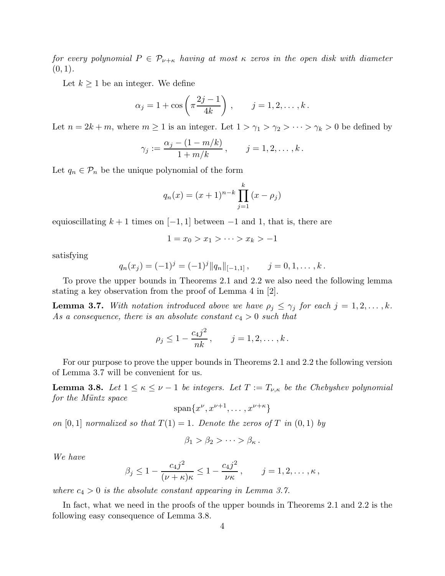for every polynomial  $P \in \mathcal{P}_{\nu+\kappa}$  having at most  $\kappa$  zeros in the open disk with diameter  $(0, 1)$ .

Let  $k \geq 1$  be an integer. We define

$$
\alpha_j = 1 + \cos\left(\pi \frac{2j-1}{4k}\right), \quad j = 1, 2, ..., k.
$$

Let  $n = 2k + m$ , where  $m \ge 1$  is an integer. Let  $1 > \gamma_1 > \gamma_2 > \cdots > \gamma_k > 0$  be defined by

$$
\gamma_j := \frac{\alpha_j - (1 - m/k)}{1 + m/k}, \qquad j = 1, 2, ..., k.
$$

Let  $q_n \in \mathcal{P}_n$  be the unique polynomial of the form

$$
q_n(x) = (x+1)^{n-k} \prod_{j=1}^k (x - \rho_j)
$$

equioscillating  $k + 1$  times on  $[-1, 1]$  between  $-1$  and 1, that is, there are

$$
1 = x_0 > x_1 > \dots > x_k > -1
$$

satisfying

$$
q_n(x_j) = (-1)^j = (-1)^j ||q_n||_{[-1,1]}, \qquad j = 0, 1, \ldots, k.
$$

To prove the upper bounds in Theorems 2.1 and 2.2 we also need the following lemma stating a key observation from the proof of Lemma 4 in [2].

**Lemma 3.7.** With notation introduced above we have  $\rho_j \leq \gamma_j$  for each  $j = 1, 2, \ldots, k$ . As a consequence, there is an absolute constant  $c_4 > 0$  such that

$$
\rho_j \le 1 - \frac{c_4 j^2}{nk}, \qquad j = 1, 2, \dots, k.
$$

For our purpose to prove the upper bounds in Theorems 2.1 and 2.2 the following version of Lemma 3.7 will be convenient for us.

**Lemma 3.8.** Let  $1 \leq \kappa \leq \nu - 1$  be integers. Let  $T := T_{\nu,\kappa}$  be the Chebyshev polynomial for the Müntz space

$$
\mathrm{span}\{x^{\nu}, x^{\nu+1}, \ldots, x^{\nu+\kappa}\}
$$

on [0, 1] normalized so that  $T(1) = 1$ . Denote the zeros of T in  $(0, 1)$  by

$$
\beta_1 > \beta_2 > \cdots > \beta_{\kappa}.
$$

We have

$$
\beta_j \le 1 - \frac{c_4 j^2}{(\nu + \kappa)\kappa} \le 1 - \frac{c_4 j^2}{\nu \kappa}, \qquad j = 1, 2, \dots, \kappa,
$$

where  $c_4 > 0$  is the absolute constant appearing in Lemma 3.7.

In fact, what we need in the proofs of the upper bounds in Theorems 2.1 and 2.2 is the following easy consequence of Lemma 3.8.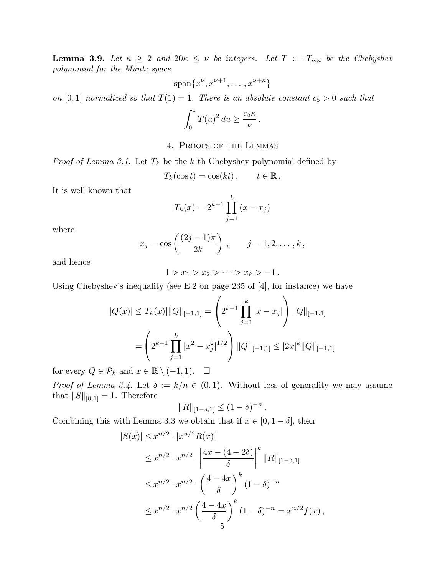**Lemma 3.9.** Let  $\kappa \geq 2$  and  $20\kappa \leq \nu$  be integers. Let  $T := T_{\nu,\kappa}$  be the Chebyshev polynomial for the Müntz space

$$
\mathrm{span}\{x^{\nu}, x^{\nu+1}, \ldots, x^{\nu+\kappa}\}
$$

on [0, 1] normalized so that  $T(1) = 1$ . There is an absolute constant  $c_5 > 0$  such that

$$
\int_0^1 T(u)^2 du \ge \frac{c_5 \kappa}{\nu}.
$$

## 4. Proofs of the Lemmas

*Proof of Lemma 3.1.* Let  $T_k$  be the k-th Chebyshev polynomial defined by

$$
T_k(\cos t) = \cos(kt), \qquad t \in \mathbb{R}.
$$

It is well known that

$$
T_k(x) = 2^{k-1} \prod_{j=1}^k (x - x_j)
$$

where

$$
x_j = \cos\left(\frac{(2j-1)\pi}{2k}\right), \qquad j = 1, 2, \dots, k,
$$

and hence

$$
1 > x_1 > x_2 > \cdots > x_k > -1.
$$

Using Chebyshev's inequality (see E.2 on page 235 of [4], for instance) we have

$$
|Q(x)| \le |T_k(x)| ||Q||_{[-1,1]} = \left(2^{k-1} \prod_{j=1}^k |x - x_j|\right) ||Q||_{[-1,1]}
$$

$$
= \left(2^{k-1} \prod_{j=1}^k |x^2 - x_j^2|^{1/2}\right) ||Q||_{[-1,1]} \le |2x|^k ||Q||_{[-1,1]}
$$

for every  $Q \in \mathcal{P}_k$  and  $x \in \mathbb{R} \setminus (-1, 1)$ .  $\Box$ 

*Proof of Lemma 3.4.* Let  $\delta := k/n \in (0,1)$ . Without loss of generality we may assume that  $||S||_{[0,1]} = 1$ . Therefore

$$
\|R\|_{[1-\delta,1]}\leq (1-\delta)^{-n}
$$

.

Combining this with Lemma 3.3 we obtain that if  $x \in [0, 1 - \delta]$ , then

$$
|S(x)| \le x^{n/2} \cdot |x^{n/2} R(x)|
$$
  
\n
$$
\le x^{n/2} \cdot x^{n/2} \cdot \left| \frac{4x - (4 - 2\delta)}{\delta} \right|^k ||R||_{[1 - \delta, 1]}
$$
  
\n
$$
\le x^{n/2} \cdot x^{n/2} \cdot \left( \frac{4 - 4x}{\delta} \right)^k (1 - \delta)^{-n}
$$
  
\n
$$
\le x^{n/2} \cdot x^{n/2} \left( \frac{4 - 4x}{\delta} \right)^k (1 - \delta)^{-n} = x^{n/2} f(x),
$$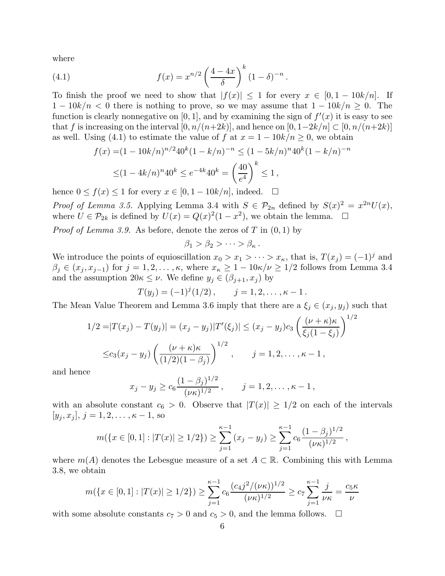where

(4.1) 
$$
f(x) = x^{n/2} \left(\frac{4-4x}{\delta}\right)^k (1-\delta)^{-n}.
$$

To finish the proof we need to show that  $|f(x)| \leq 1$  for every  $x \in [0, 1 - 10k/n]$ . If  $1 - 10k/n < 0$  there is nothing to prove, so we may assume that  $1 - 10k/n \geq 0$ . The function is clearly nonnegative on [0, 1], and by examining the sign of  $f'(x)$  it is easy to see that f is increasing on the interval  $[0, n/(n+2k)]$ , and hence on  $[0, 1-2k/n] \subset [0, n/(n+2k)]$ as well. Using (4.1) to estimate the value of f at  $x = 1 - 10k/n \ge 0$ , we obtain

$$
f(x) = (1 - 10k/n)^{n/2} 40^k (1 - k/n)^{-n} \le (1 - 5k/n)^n 40^k (1 - k/n)^{-n}
$$
  
 
$$
\le (1 - 4k/n)^n 40^k \le e^{-4k} 40^k = \left(\frac{40}{e^4}\right)^k \le 1,
$$

hence  $0 \le f(x) \le 1$  for every  $x \in [0, 1 - 10k/n]$ , indeed.  $\square$ 

Proof of Lemma 3.5. Applying Lemma 3.4 with  $S \in \mathcal{P}_{2n}$  defined by  $S(x)^2 = x^{2n}U(x)$ , where  $U \in \mathcal{P}_{2k}$  is defined by  $U(x) = Q(x)^2(1-x^2)$ , we obtain the lemma.  $\square$ 

*Proof of Lemma 3.9.* As before, denote the zeros of T in  $(0,1)$  by

$$
\beta_1 > \beta_2 > \cdots > \beta_{\kappa}.
$$

We introduce the points of equioscillation  $x_0 > x_1 > \cdots > x_{\kappa}$ , that is,  $T(x_j) = (-1)^j$  and  $\beta_j \in (x_j, x_{j-1})$  for  $j = 1, 2, \ldots, \kappa$ , where  $x_{\kappa} \geq 1 - 10\kappa/\nu \geq 1/2$  follows from Lemma 3.4 and the assumption  $20\kappa \leq \nu$ . We define  $y_j \in (\beta_{j+1}, x_j)$  by

$$
T(y_j) = (-1)^j (1/2), \qquad j = 1, 2, \ldots, \kappa - 1.
$$

The Mean Value Theorem and Lemma 3.6 imply that there are a  $\xi_j \in (x_j, y_j)$  such that

$$
1/2 = |T(x_j) - T(y_j)| = (x_j - y_j)|T'(\xi_j)| \le (x_j - y_j)c_3 \left(\frac{(\nu + \kappa)\kappa}{\xi_j(1 - \xi_j)}\right)^{1/2}
$$
  

$$
\le c_3(x_j - y_j) \left(\frac{(\nu + \kappa)\kappa}{(1/2)(1 - \beta_j)}\right)^{1/2}, \qquad j = 1, 2, ..., \kappa - 1,
$$

and hence

$$
x_j - y_j \ge c_6 \frac{(1-\beta_j)^{1/2}}{(\nu \kappa)^{1/2}}, \qquad j = 1, 2, ..., \kappa - 1,
$$

with an absolute constant  $c_6 > 0$ . Observe that  $|T(x)| \geq 1/2$  on each of the intervals  $[y_j, x_j], j = 1, 2, \ldots, \kappa - 1$ , so

$$
m(\lbrace x \in [0,1] : |T(x)| \ge 1/2 \rbrace) \ge \sum_{j=1}^{\kappa-1} (x_j - y_j) \ge \sum_{j=1}^{\kappa-1} c_6 \frac{(1 - \beta_j)^{1/2}}{(\nu \kappa)^{1/2}},
$$

where  $m(A)$  denotes the Lebesgue measure of a set  $A \subset \mathbb{R}$ . Combining this with Lemma 3.8, we obtain

$$
m(\lbrace x \in [0,1] : |T(x)| \ge 1/2 \rbrace) \ge \sum_{j=1}^{\kappa-1} c_6 \frac{(c_4 j^2/(\nu \kappa))^{1/2}}{(\nu \kappa)^{1/2}} \ge c_7 \sum_{j=1}^{\kappa-1} \frac{j}{\nu \kappa} = \frac{c_5 \kappa}{\nu}
$$

with some absolute constants  $c_7 > 0$  and  $c_5 > 0$ , and the lemma follows.  $\Box$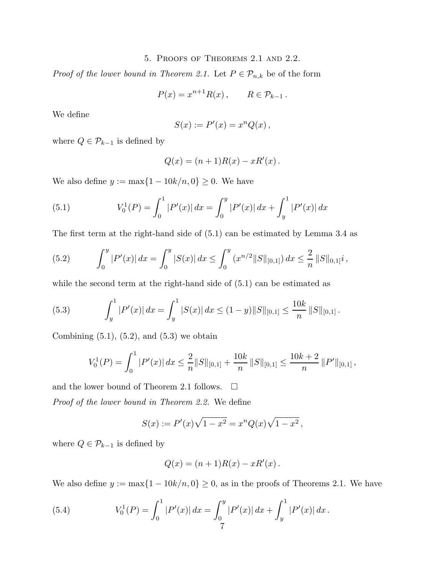## 5. Proofs of Theorems 2.1 and 2.2.

*Proof of the lower bound in Theorem 2.1.* Let  $P \in \mathcal{P}_{n,k}$  be of the form

$$
P(x) = x^{n+1} R(x) , \qquad R \in \mathcal{P}_{k-1} .
$$

We define

$$
S(x) := P'(x) = x^n Q(x),
$$

where  $Q \in \mathcal{P}_{k-1}$  is defined by

$$
Q(x) = (n+1)R(x) - xR'(x).
$$

We also define  $y := \max\{1 - 10k/n, 0\} \ge 0$ . We have

(5.1) 
$$
V_0^1(P) = \int_0^1 |P'(x)| dx = \int_0^y |P'(x)| dx + \int_y^1 |P'(x)| dx
$$

The first term at the right-hand side of (5.1) can be estimated by Lemma 3.4 as

(5.2) 
$$
\int_0^y |P'(x)| dx = \int_0^y |S(x)| dx \le \int_0^y (x^{n/2} ||S||_{[0,1]}) dx \le \frac{2}{n} ||S||_{0,1]^i,
$$

while the second term at the right-hand side of  $(5.1)$  can be estimated as

(5.3) 
$$
\int_{y}^{1} |P'(x)| dx = \int_{y}^{1} |S(x)| dx \le (1 - y) \|S\|_{[0,1]} \le \frac{10k}{n} \|S\|_{[0,1]}.
$$

Combining  $(5.1)$ ,  $(5.2)$ , and  $(5.3)$  we obtain

$$
V_0^1(P) = \int_0^1 |P'(x)| dx \le \frac{2}{n} ||S||_{[0,1]} + \frac{10k}{n} ||S||_{[0,1]} \le \frac{10k+2}{n} ||P'||_{[0,1]},
$$

and the lower bound of Theorem 2.1 follows.  $\Box$ 

Proof of the lower bound in Theorem 2.2. We define

$$
S(x) := P'(x)\sqrt{1 - x^2} = x^n Q(x)\sqrt{1 - x^2},
$$

where  $Q \in \mathcal{P}_{k-1}$  is defined by

$$
Q(x) = (n+1)R(x) - xR'(x).
$$

We also define  $y := \max\{1 - 10k/n, 0\} \ge 0$ , as in the proofs of Theorems 2.1. We have

(5.4) 
$$
V_0^1(P) = \int_0^1 |P'(x)| dx = \int_0^y |P'(x)| dx + \int_y^1 |P'(x)| dx.
$$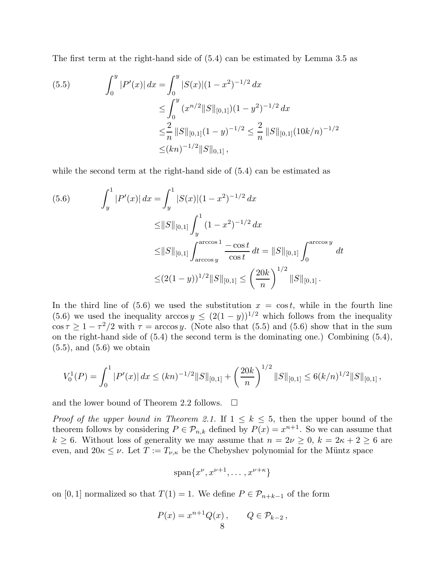The first term at the right-hand side of (5.4) can be estimated by Lemma 3.5 as

$$
(5.5) \qquad \int_0^y |P'(x)| \, dx = \int_0^y |S(x)| (1 - x^2)^{-1/2} \, dx
$$
  
\n
$$
\leq \int_0^y (x^{n/2} \|S\|_{[0,1]}) (1 - y^2)^{-1/2} \, dx
$$
  
\n
$$
\leq \frac{2}{n} \|S\|_{[0,1]} (1 - y)^{-1/2} \leq \frac{2}{n} \|S\|_{[0,1]} (10k/n)^{-1/2}
$$
  
\n
$$
\leq (kn)^{-1/2} \|S\|_{[0,1]},
$$

while the second term at the right-hand side of  $(5.4)$  can be estimated as

$$
(5.6) \qquad \int_{y}^{1} |P'(x)| \, dx = \int_{y}^{1} |S(x)| (1 - x^{2})^{-1/2} \, dx
$$

$$
\leq ||S||_{[0,1]} \int_{y}^{1} (1 - x^{2})^{-1/2} \, dx
$$

$$
\leq ||S||_{[0,1]} \int_{\arccos y}^{\arccos 1} \frac{-\cos t}{\cos t} \, dt = ||S||_{[0,1]} \int_{0}^{\arccos y} \, dt
$$

$$
\leq (2(1 - y))^{1/2} ||S||_{[0,1]} \leq \left(\frac{20k}{n}\right)^{1/2} ||S||_{[0,1]}.
$$

In the third line of  $(5.6)$  we used the substitution  $x = \cos t$ , while in the fourth line (5.6) we used the inequality arccos  $y \leq (2(1-y))^{1/2}$  which follows from the inequality  $\cos \tau \geq 1 - \tau^2/2$  with  $\tau = \arccos y$ . (Note also that (5.5) and (5.6) show that in the sum on the right-hand side of (5.4) the second term is the dominating one.) Combining (5.4),  $(5.5)$ , and  $(5.6)$  we obtain

$$
V_0^1(P) = \int_0^1 |P'(x)| dx \le (kn)^{-1/2} ||S||_{[0,1]} + \left(\frac{20k}{n}\right)^{1/2} ||S||_{[0,1]} \le 6(k/n)^{1/2} ||S||_{[0,1]},
$$

and the lower bound of Theorem 2.2 follows.  $\Box$ 

*Proof of the upper bound in Theorem 2.1.* If  $1 \leq k \leq 5$ , then the upper bound of the theorem follows by considering  $P \in \mathcal{P}_{n,k}$  defined by  $P(x) = x^{n+1}$ . So we can assume that  $k \geq 6$ . Without loss of generality we may assume that  $n = 2\nu \geq 0$ ,  $k = 2\kappa + 2 \geq 6$  are even, and  $20\kappa \leq \nu$ . Let  $T := T_{\nu,\kappa}$  be the Chebyshev polynomial for the Müntz space

$$
\mathrm{span}\{x^{\nu}, x^{\nu+1}, \ldots, x^{\nu+\kappa}\}
$$

on [0, 1] normalized so that  $T(1) = 1$ . We define  $P \in \mathcal{P}_{n+k-1}$  of the form

$$
P(x) = x^{n+1}Q(x), \qquad Q \in \mathcal{P}_{k-2},
$$
8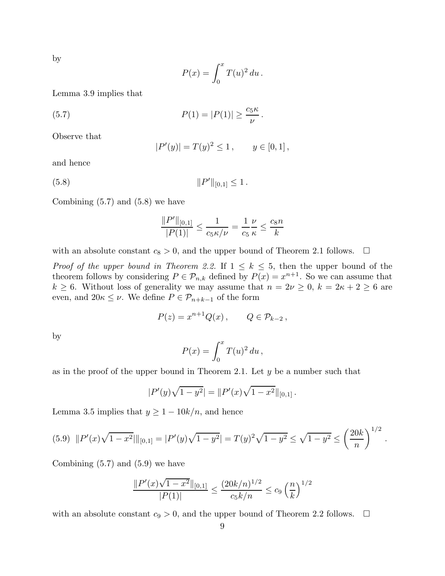by

$$
P(x) = \int_0^x T(u)^2 du.
$$

Lemma 3.9 implies that

(5.7) 
$$
P(1) = |P(1)| \ge \frac{c_5 \kappa}{\nu}
$$

Observe that

$$
|P'(y)| = T(y)^2 \le 1, \qquad y \in [0,1],
$$

.

and hence

$$
(5.8) \t\t\t ||P'||_{[0,1]} \le 1.
$$

Combining  $(5.7)$  and  $(5.8)$  we have

$$
\frac{\|P'\|_{[0,1]}}{|P(1)|} \le \frac{1}{c_5 \kappa/\nu} = \frac{1}{c_5} \frac{\nu}{\kappa} \le \frac{c_8 n}{k}
$$

with an absolute constant  $c_8 > 0$ , and the upper bound of Theorem 2.1 follows.  $\Box$ 

*Proof of the upper bound in Theorem 2.2.* If  $1 \leq k \leq 5$ , then the upper bound of the theorem follows by considering  $P \in \mathcal{P}_{n,k}$  defined by  $P(x) = x^{n+1}$ . So we can assume that  $k \geq 6$ . Without loss of generality we may assume that  $n = 2\nu \geq 0$ ,  $k = 2\kappa + 2 \geq 6$  are even, and  $20\kappa \leq \nu$ . We define  $P \in \mathcal{P}_{n+k-1}$  of the form

$$
P(z) = x^{n+1} Q(x) , \qquad Q \in \mathcal{P}_{k-2} ,
$$

by

$$
P(x) = \int_0^x T(u)^2 du,
$$

as in the proof of the upper bound in Theorem 2.1. Let  $y$  be a number such that

$$
|P'(y)\sqrt{1-y^2}| = ||P'(x)\sqrt{1-x^2}||_{[0,1]}.
$$

Lemma 3.5 implies that  $y \ge 1 - 10k/n$ , and hence

$$
(5.9) \quad ||P'(x)\sqrt{1-x^2}||_{[0,1]} = |P'(y)\sqrt{1-y^2}| = T(y)^2\sqrt{1-y^2} \le \sqrt{1-y^2} \le \left(\frac{20k}{n}\right)^{1/2}
$$

.

Combining  $(5.7)$  and  $(5.9)$  we have

$$
\frac{\|P'(x)\sqrt{1-x^2}\|_{[0,1]}}{|P(1)|} \le \frac{(20k/n)^{1/2}}{c_5k/n} \le c_9 \left(\frac{n}{k}\right)^{1/2}
$$

with an absolute constant  $c_9 > 0$ , and the upper bound of Theorem 2.2 follows.  $\Box$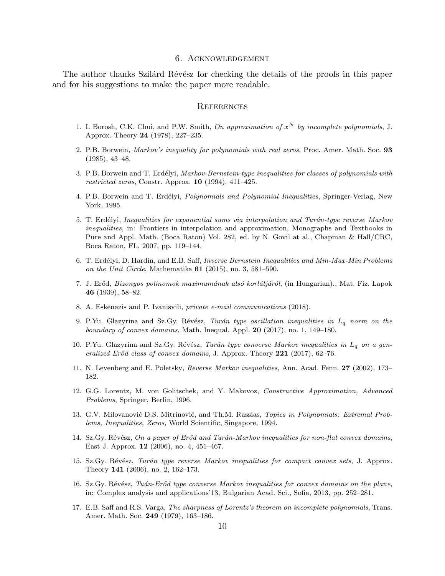#### 6. Acknowledgement

The author thanks Szilárd Révész for checking the details of the proofs in this paper and for his suggestions to make the paper more readable.

### **REFERENCES**

- 1. I. Borosh, C.K. Chui, and P.W. Smith, *On approximation of*  $x^N$  *by incomplete polynomials*, J. Approx. Theory 24 (1978), 227–235.
- 2. P.B. Borwein, *Markov's inequality for polynomials with real zeros*, Proc. Amer. Math. Soc. 93 (1985), 43–48.
- 3. P.B. Borwein and T. Erd´elyi, *Markov-Bernstein-type inequalities for classes of polynomials with restricted zeros*, Constr. Approx. 10 (1994), 411–425.
- 4. P.B. Borwein and T. Erd´elyi, *Polynomials and Polynomial Inequalities*, Springer-Verlag, New York, 1995.
- 5. T. Erd´elyi, *Inequalities for exponential sums via interpolation and Tur´an-type reverse Markov inequalities*, in: Frontiers in interpolation and approximation, Monographs and Textbooks in Pure and Appl. Math. (Boca Raton) Vol. 282, ed. by N. Govil at al., Chapman & Hall/CRC, Boca Raton, FL, 2007, pp. 119–144.
- 6. T. Erd´elyi, D. Hardin, and E.B. Saff, *Inverse Bernstein Inequalities and Min-Max-Min Problems on the Unit Circle*, Mathematika 61 (2015), no. 3, 581–590.
- 7. J. Er˝od, *Bizonyos polinomok maximum´anak als´o korl´atj´ar´ol*, (in Hungarian)., Mat. Fiz. Lapok 46 (1939), 58–82.
- 8. A. Eskenazis and P. Ivanisvili, *private e-mail communications* (2018).
- 9. P.Yu. Glazyrina and Sz.Gy. Révész, *Turán type oscillation inequalities in*  $L_q$  *norm on the boundary of convex domains*, Math. Inequal. Appl. 20 (2017), no. 1, 149–180.
- 10. P.Yu. Glazyrina and Sz.Gy. Révész, *Turán type converse Markov inequalities in* L<sub>a</sub> on a gen*eralized Er˝od class of convex domains*, J. Approx. Theory 221 (2017), 62–76.
- 11. N. Levenberg and E. Poletsky, *Reverse Markov inequalities*, Ann. Acad. Fenn. 27 (2002), 173– 182.
- 12. G.G. Lorentz, M. von Golitschek, and Y. Makovoz, *Constructive Approximation, Advanced Problems*, Springer, Berlin, 1996.
- 13. G.V. Milovanović D.S. Mitrinović, and Th.M. Rassias, *Topics in Polynomials: Extremal Problems, Inequalities, Zeros*, World Scientific, Singapore, 1994.
- 14. Sz.Gy. Révész, *On a paper of Erőd and Turán-Markov inequalities for non-flat convex domains*, East J. Approx. 12 (2006), no. 4, 451–467.
- 15. Sz.Gy. R´ev´esz, *Tur´an type reverse Markov inequalities for compact convex sets*, J. Approx. Theory 141 (2006), no. 2, 162–173.
- 16. Sz.Gy. Révész, *Tuán-Erőd type converse Markov inequalities for convex domains on the plane*, in: Complex analysis and applications'13, Bulgarian Acad. Sci., Sofia, 2013, pp. 252–281.
- 17. E.B. Saff and R.S. Varga, *The sharpness of Lorentz's theorem on incomplete polynomials*, Trans. Amer. Math. Soc. 249 (1979), 163–186.